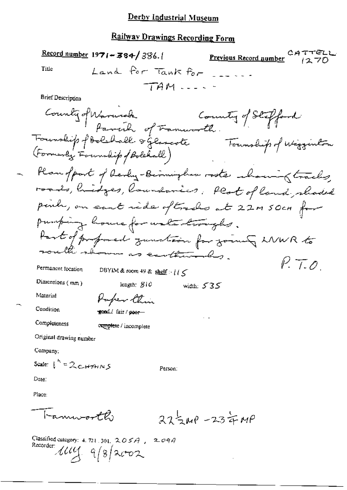## **Railway Drawings Recording Form**

Record number 1971-384/386. CATTELL Previous Record number Land for Tank for Title  $TAA$   $\sim$   $\sim$   $\sim$   $\sim$ **Brief Description** County of Warnick County of Stepford<br>Foundip of Bolshall of Famuro the Foundip of Wigginton - Plan ofport of devly-Birmingham roots chosing tracks roads, hidges, laundances, Plat of land, shaded penh, on eart ride oftraches at 22m 50cm for pumping house for water troughs. Part of professed zunstam for zoung LNWR to the shown as continuales.  $P. 7.0$ Permanent location DBYIM & room 49 & shelf  $\cdot$  i i  $\leq$ Dimensions  $(mn)$ length:  $S1C$ width:  $535$ Material Paper Chin Condition tond/ fair/coor-Completeness complete / incomplete Original drawing number Company: Scale:  $1^{k} = 2c4791MS$ Person: Date: Place:

 $275w^{\circ} - 234w^{\circ}$ 

Classified category: 4, 721, 301,  $205A$ ,  $2094$ Recorder 1114 9/8/2002

any soft